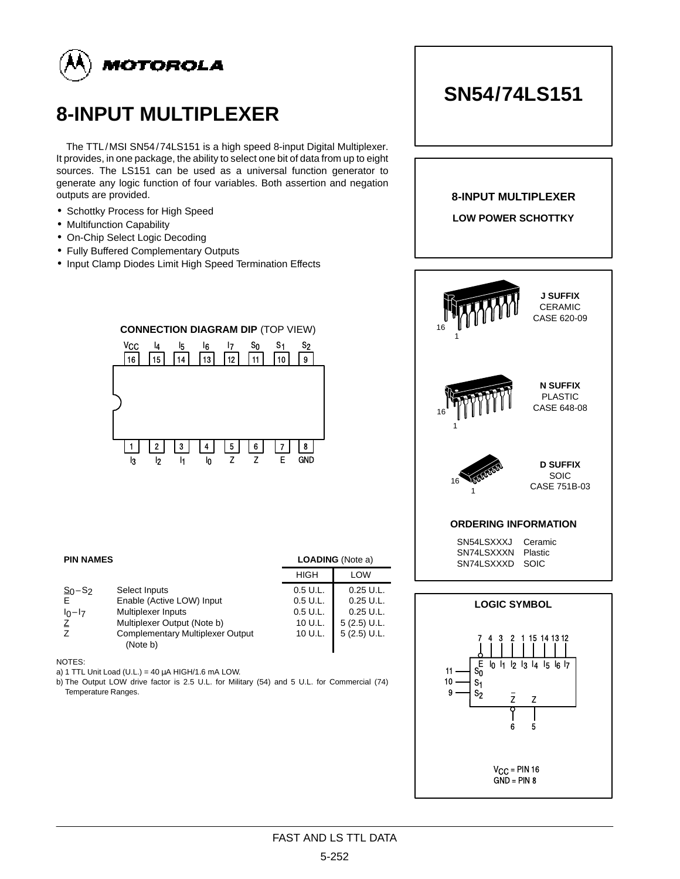

# **8-INPUT MULTIPLEXER**

The TTL/MSI SN54/74LS151 is a high speed 8-input Digital Multiplexer. It provides, in one package, the ability to select one bit of data from up to eight sources. The LS151 can be used as a universal function generator to generate any logic function of four variables. Both assertion and negation outputs are provided.

- Schottky Process for High Speed
- Multifunction Capability
- On-Chip Select Logic Decoding
- Fully Buffered Complementary Outputs
- Input Clamp Diodes Limit High Speed Termination Effects

#### $14$  |  $13$  |  $12$  |  $11$  |  $10$  $\overline{9}$ 1 | | 2 | | 3 | | 4 | | 5 | | 6 | | 7  $16$  | 15 8 V<sub>CC</sub> l3 I  $4$   $|$   $_7$   $s_0$ S2  $I_2$  | h  $\mathsf{I}_0$ Z Z E GND

| <b>PIN NAMES</b>               |                                                                                              |                                | <b>LOADING</b> (Note a)                       |  |  |
|--------------------------------|----------------------------------------------------------------------------------------------|--------------------------------|-----------------------------------------------|--|--|
|                                |                                                                                              | HIGH                           | LOW                                           |  |  |
| $S_0 - S_2$<br>F.              | Select Inputs<br>Enable (Active LOW) Input                                                   | 0.5 U.L.<br>$0.5$ U.L.         | $0.25$ U.L.<br>$0.25$ U.L.                    |  |  |
| $I_0-I_7$<br>$\mathsf{Z}$<br>Ζ | Multiplexer Inputs<br>Multiplexer Output (Note b)<br><b>Complementary Multiplexer Output</b> | 0.5 U.L.<br>10 U.L.<br>10 U.L. | $0.25$ U.L.<br>$5(2.5)$ U.L.<br>$5(2.5)$ U.L. |  |  |
|                                | (Note b)                                                                                     |                                |                                               |  |  |

NOTES:

a) 1 TTL Unit Load (U.L.) = 40  $\mu$ A HIGH/1.6 mA LOW.

b) The Output LOW drive factor is 2.5 U.L. for Military (54) and 5 U.L. for Commercial (74) Temperature Ranges.

## **8-INPUT MULTIPLEXER LOW POWER SCHOTTKY J SUFFIX** CERAMIC CASE 620-09 **N SUFFIX** PLASTIC CASE 648-08 16 1 16 1 **ORDERING INFORMATION** SN54LSXXXJ Ceramic SN74LSXXXN Plastic SN74LSXXXD SOIC 16 1 **D SUFFIX SOIC** CASE 751B-03 **LOGIC SYMBOL**



# **CONNECTION DIAGRAM DIP** (TOP VIEW)

# FAST AND LS TTL DATA

# **SN54/74LS151**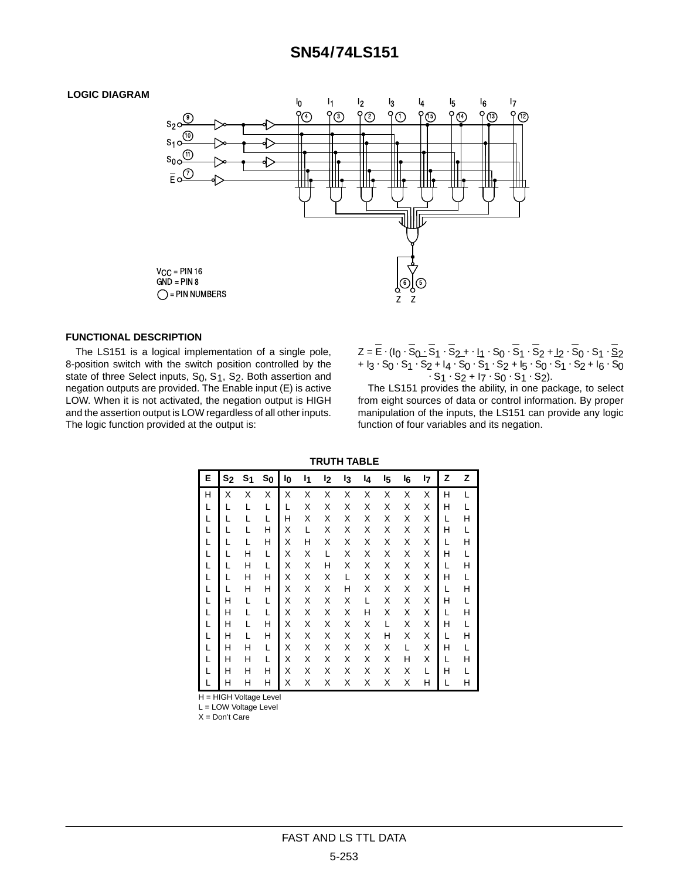### **SN54/74LS151**

#### **LOGIC DIAGRAM**



#### **FUNCTIONAL DESCRIPTION**

The LS151 is a logical implementation of a single pole, 8-position switch with the switch position controlled by the state of three Select inputs, S<sub>0</sub>, S<sub>1</sub>, S<sub>2</sub>. Both assertion and negation outputs are provided. The Enable input (E) is active LOW. When it is not activated, the negation output is HIGH and the assertion output is LOW regardless of all other inputs. The logic function provided at the output is:

 $Z = \overline{E} \cdot (I_0 \cdot \overline{S_0} \cdot \overline{S_1} \cdot \overline{S_2} + \cdot I_1 \cdot S_0 \cdot S_1 \cdot S_2 + I_2 \cdot S_0 \cdot S_1 \cdot \underline{S_2}$  $+ 13 \cdot S_0 \cdot S_1 \cdot S_2 + 14 \cdot S_0 \cdot S_1 \cdot S_2 + 15 \cdot S_0 \cdot S_1 \cdot S_2 + 16 \cdot S_0$  $-S_1 \cdot S_2 + I_7 \cdot S_0 \cdot S_1 \cdot S_2$ .

The LS151 provides the ability, in one package, to select from eight sources of data or control information. By proper manipulation of the inputs, the LS151 can provide any logic function of four variables and its negation.

**TRUTH TABLE**

| Е | s <sub>2</sub> | S <sub>1</sub> | $s_{0}$ | l0 | I1 | l2 | l3 | 14 | I5 | l <sub>6</sub> | l7 | z | z |
|---|----------------|----------------|---------|----|----|----|----|----|----|----------------|----|---|---|
| н | Χ              | Χ              | Χ       | X  | Χ  | Χ  | Χ  | Χ  | Χ  | X              | Χ  | Н |   |
|   |                |                |         |    | Χ  | Χ  | Χ  | Χ  | Χ  | X              | Χ  | н |   |
|   |                |                |         | Н  | Χ  | Χ  | Χ  | Χ  | Χ  | X              | Χ  |   |   |
|   |                |                | Н       | Χ  | L  | Χ  | Χ  | Χ  | Χ  | Χ              | Χ  | н |   |
|   |                |                | Н       | Χ  | Н  | Χ  | Χ  | Χ  | Χ  | X              | Χ  |   |   |
|   |                | н              | L       | Χ  | Χ  | L  | Χ  | Χ  | Χ  | X              | Χ  | Н |   |
|   |                | н              |         | Χ  | Χ  | Н  | Χ  | Χ  | Χ  | X              | Χ  |   |   |
|   |                | н              | н       | Χ  | Χ  | Χ  | L  | Χ  | Χ  | X              | Χ  | н |   |
|   |                | н              | н       | Χ  | Χ  | Χ  | Н  | Χ  | Χ  | Χ              | Χ  |   |   |
|   | Н              |                |         | Χ  | Χ  | Χ  | Χ  | L  | Χ  | Χ              | Χ  | Н |   |
|   | н              |                |         | Χ  | Χ  | Χ  | Χ  | Н  | Χ  | Χ              | Χ  |   |   |
|   | н              |                | н       | Χ  | Χ  | Χ  | X  | Χ  |    | X              | Χ  | н |   |
|   | Н              |                | н       | Χ  | Χ  | Χ  | X  | Χ  | Н  | X              | Χ  |   |   |
|   | Н              | н              |         | Χ  | Χ  | Χ  | Χ  | Χ  | Χ  | L              | Χ  | Н |   |
|   | Н              | Н              |         | Χ  | Χ  | Χ  | Χ  | Χ  | Χ  | Н              | Χ  |   |   |
|   | Н              | н              | Н       | Χ  | Χ  | Χ  | Χ  | Χ  | Χ  | Χ              | L  | Н |   |
|   | Н              | н              | Н       | Χ  | Χ  | Χ  | Χ  | Χ  | Χ  | Χ              | Н  |   |   |

H = HIGH Voltage Level

L = LOW Voltage Level

X = Don't Care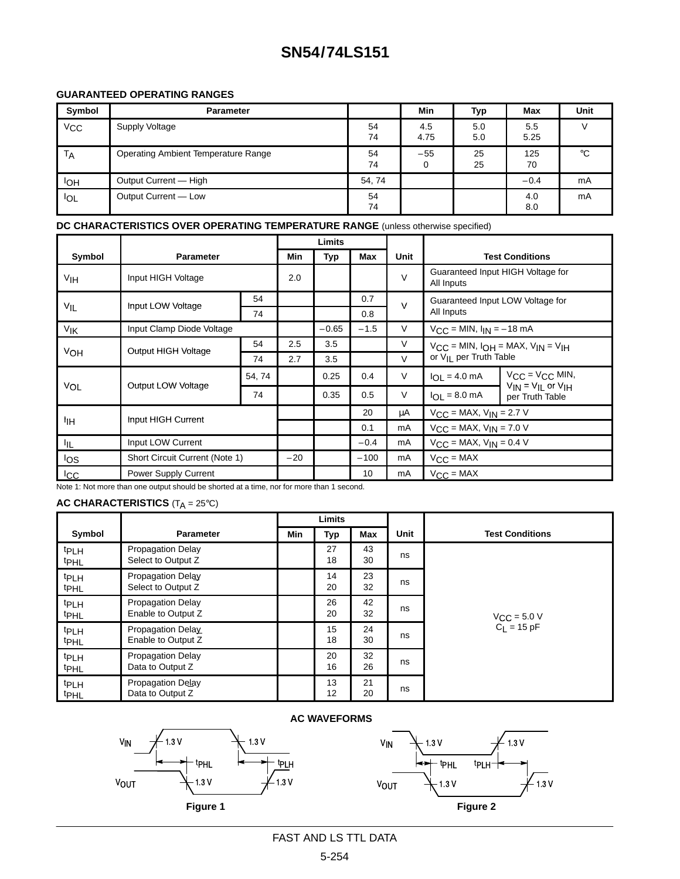## **SN54/74LS151**

#### **GUARANTEED OPERATING RANGES**

| Symbol       | <b>Parameter</b>                    |          | <b>Min</b>  | Typ        | Max         | <b>Unit</b> |
|--------------|-------------------------------------|----------|-------------|------------|-------------|-------------|
| $V_{\rm CC}$ | Supply Voltage                      | 54<br>74 | 4.5<br>4.75 | 5.0<br>5.0 | 5.5<br>5.25 |             |
| TA           | Operating Ambient Temperature Range | 54<br>74 | $-55$<br>0  | 25<br>25   | 125<br>70   | $^{\circ}C$ |
| <b>IOH</b>   | Output Current - High               | 54, 74   |             |            | $-0.4$      | mA          |
| <b>IOL</b>   | Output Current - Low                | 54<br>74 |             |            | 4.0<br>8.0  | mA          |

#### **DC CHARACTERISTICS OVER OPERATING TEMPERATURE RANGE** (unless otherwise specified)

|              |                                       |        | Limits |         |        |        |                                                     |                                                                   |  |
|--------------|---------------------------------------|--------|--------|---------|--------|--------|-----------------------------------------------------|-------------------------------------------------------------------|--|
| Symbol       | <b>Parameter</b>                      |        | Min    | Typ     | Max    | Unit   | <b>Test Conditions</b>                              |                                                                   |  |
| VIH          | Input HIGH Voltage                    |        | 2.0    |         |        | $\vee$ | Guaranteed Input HIGH Voltage for<br>All Inputs     |                                                                   |  |
|              | Input LOW Voltage                     | 54     |        |         | 0.7    | $\vee$ |                                                     | Guaranteed Input LOW Voltage for                                  |  |
| VIL          |                                       | 74     |        |         | 0.8    |        | All Inputs                                          |                                                                   |  |
| VIK          | Input Clamp Diode Voltage             |        |        | $-0.65$ | $-1.5$ | $\vee$ | $V_{\text{CC}} =$ MIN, $I_{\text{IN}} = -18$ mA     |                                                                   |  |
|              |                                       |        | 2.5    | 3.5     |        | $\vee$ | $V_{CC}$ = MIN, $I_{OH}$ = MAX, $V_{IN}$ = $V_{IH}$ |                                                                   |  |
| VOH          | Output HIGH Voltage                   | 74     | 2.7    | 3.5     |        | $\vee$ | or V <sub>II</sub> per Truth Table                  |                                                                   |  |
|              | Output LOW Voltage                    | 54, 74 |        | 0.25    | 0.4    | $\vee$ | $I_{OL} = 4.0$ mA                                   | $V_{\rm CC}$ = $V_{\rm CC}$ MIN,<br>$V_{IN} = V_{II}$ or $V_{IH}$ |  |
| VOL          |                                       | 74     |        | 0.35    | 0.5    | $\vee$ | $I_{\bigodot I}$ = 8.0 mA                           | per Truth Table                                                   |  |
|              | Input HIGH Current                    |        |        |         | 20     | μA     | $V_{CC}$ = MAX, $V_{IN}$ = 2.7 V                    |                                                                   |  |
| ÌІН          |                                       |        |        |         | 0.1    | mA     | $V_{CC}$ = MAX, $V_{IN}$ = 7.0 V                    |                                                                   |  |
| IIL.         | Input LOW Current                     |        |        |         | $-0.4$ | mA     | $V_{CC}$ = MAX, $V_{IN}$ = 0.4 V                    |                                                                   |  |
| los          | <b>Short Circuit Current (Note 1)</b> |        | $-20$  |         | $-100$ | mA     | $V_{CC} = MAX$                                      |                                                                   |  |
| $_{\rm lCC}$ | Power Supply Current                  |        |        |         | 10     | mA     | $V_{CC} = MAX$                                      |                                                                   |  |

Note 1: Not more than one output should be shorted at a time, nor for more than 1 second.

### **AC CHARACTERISTICS** (T<sub>A</sub> = 25°C)

|                                      |                                                |     | Limits   |            |             |                                                           |
|--------------------------------------|------------------------------------------------|-----|----------|------------|-------------|-----------------------------------------------------------|
| Symbol                               | <b>Parameter</b>                               | Min | Typ      | <b>Max</b> | <b>Unit</b> | <b>Test Conditions</b>                                    |
| <b>tPLH</b><br><sup>t</sup> PHL      | <b>Propagation Delay</b><br>Select to Output Z |     | 27<br>18 | 43<br>30   | ns          |                                                           |
| <b>t</b> PLH<br><b>t</b> PHL         | <b>Propagation Delay</b><br>Select to Output Z |     | 14<br>20 | 23<br>32   | ns          |                                                           |
| <b>t</b> PLH<br><sup>t</sup> PHL     | <b>Propagation Delay</b><br>Enable to Output Z |     | 26<br>20 | 42<br>32   | ns          | $V_{\text{CC}} = 5.0 \text{ V}$<br>C <sub>L</sub> = 15 pF |
| t <sub>PLH</sub><br><sup>t</sup> PHL | Propagation Delay<br>Enable to Output Z        |     | 15<br>18 | 24<br>30   | ns          |                                                           |
| <b>t</b> PLH<br><sup>t</sup> PHL     | <b>Propagation Delay</b><br>Data to Output Z   |     | 20<br>16 | 32<br>26   | ns          |                                                           |
| <sup>t</sup> PLH<br><b>t</b> PHL     | Propagation Delay<br>Data to Output Z          |     | 13<br>12 | 21<br>20   | ns          |                                                           |

#### **AC WAVEFORMS**



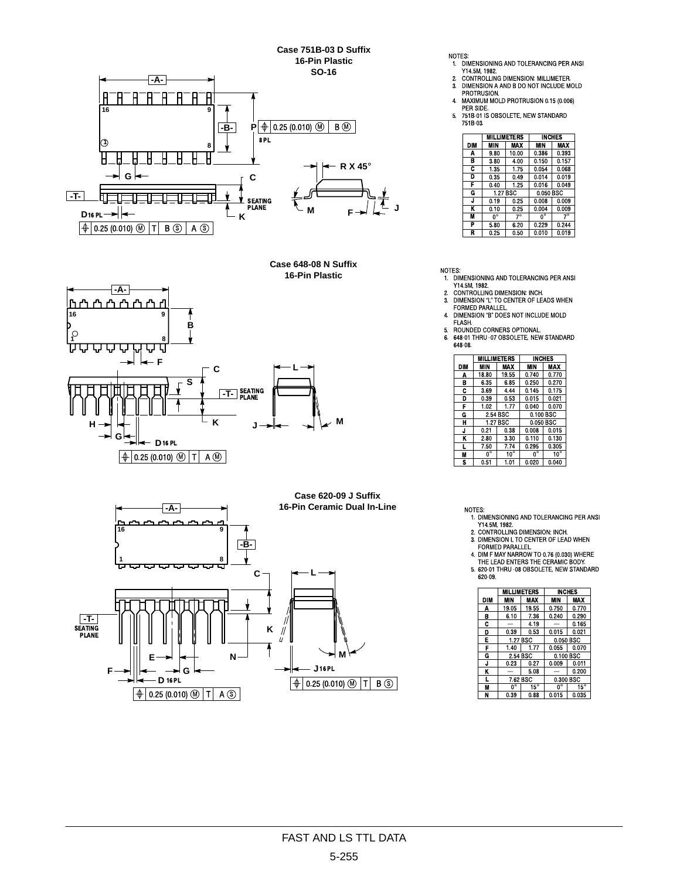Case 751B-03 D Suffix 16-Pin Plastic **SO-16** 



Case 648-08 N Suffix 16-Pin Plastic



Case 620-09 J Suffix 16-Pin Ceramic Dual In-Line  $-A 16$  $-FB-$ ==  $\epsilon$  $\begin{array}{c} \boxed{\text{-T-}} \\ \text{SEATING} \\ \text{PLANE} \end{array}$ Κ 7. N J 16 PL F D 16 PL  $\boxed{+}$  0.25 (0.010)  $\boxed{0}$  T B  $\boxed{S}$  $\boxed{+}$  0.25 (0.010)  $\boxed{0}$  T A  $\boxed{S}$ 

NOTES:

- 1. DIMENSIONING AND TOLERANCING PER ANSI<br>Y14.5M, 1982.
- T 14.3M, 1962.<br>CONTROLLING DIMENSION: MILLIMETER.<br>DIMENSION A AND B DO NOT INCLUDE MOLD  $\mathbf{r}$  $3.$
- PROTRUSION.<br>PROTRUSION.<br>MAXIMUM MOLD PROTRUSION 0.15 (0.006)  $4.$
- 
- **WERTSIDE.**<br>THE SIDE.<br>T51B-01 IS OBSOLETE, NEW STANDARD<br>T51B-03.  $5.$

|            |            | <b>MILLIMETERS</b> |           | <b>INCHES</b> |  |
|------------|------------|--------------------|-----------|---------------|--|
| <b>DIM</b> | <b>MIN</b> | MAX                | MIN       | MAX           |  |
| Α          | 9.80       | 10.00              | 0.386     | 0.393         |  |
| в          | 3.80       | 4.00               | 0.150     | 0.157         |  |
| C          | 1.35       | 1.75               | 0.054     | 0.068         |  |
| D          | 0.35       | 0.49               | 0.014     | 0.019         |  |
| F          | 0.40       | 1.25               | 0.016     | 0.049         |  |
| G          | 1.27 BSC   |                    | 0.050 BSC |               |  |
| J          | 0.19       | 0.25               | 0.008     | 0.009         |  |
| ĸ          | 0.10       | 0.25               | 0.004     | 0.009         |  |
| M          | 0°         | $7^\circ$          | 0°        | $7^\circ$     |  |
| P          | 5.80       | 6.20               | 0.229     | 0.244         |  |
| R          | 0.25       | 0.50               | 0.010     | 0.019         |  |

NOTES:

- 1. DIMENSIONING AND TOLERANCING PER ANSI<br>Y14.5M, 1982.
- $2.$
- THE JUNITION DIMENSION: INCH.<br>DIMENSION "L" TO CENTER OF LEADS WHEN<br>FORMED PARALLEL. 3.
- DIMENSION "B" DOES NOT INCLUDE MOLD  $\overline{4}$ FLASH.
- $5.$
- FLASH.<br>ROUNDED CORNERS OPTIONAL.<br>648-01 THRU -07 OBSOLETE, NEW STANDARD  $6.$ 648-08.

|     |                   | <b>MILLIMETERS</b> |           | <b>INCHES</b> |  |  |
|-----|-------------------|--------------------|-----------|---------------|--|--|
| DIM | <b>VIN</b><br>MAX |                    | MIN       | <b>MAX</b>    |  |  |
| А   | 18.80             | 19.55              | 0.740     | 0.770         |  |  |
| в   | 6.35              | 6.85               | 0.250     | 0.270         |  |  |
| c   | 3.69              | 4.44               | 0.145     | 0.175         |  |  |
| D   | 0.39              | 0.53               | 0.015     | 0.021         |  |  |
| F   | 1.02              | 1.77               | 0.040     | 0.070         |  |  |
| G   |                   | 2.54 BSC           | 0.100 BSC |               |  |  |
| н   |                   | 1.27 BSC           | 0.050 BSC |               |  |  |
| J   | 0.21              | 0.38               | 0.008     | 0.015         |  |  |
| κ   | 2.80              | 3.30               | 0.110     | 0.130         |  |  |
| Н   | 7.50              | 7.74               | 0.295     | 0.305         |  |  |
| M   | 0°                | $10^{\circ}$       | 0°        | $10^{\circ}$  |  |  |
| s   | 0.51              | 1.01               | 0.020     | 0.040         |  |  |

- NOTES:<br>1. DIMENSIONING AND TOLERANCING PER ANSI<br>2. CONTROLLING DIMENSION: INCH.<br>2. CONTROLLING DIMENSION: INCH.<br>3. DIMENSION L TO CENTER OF LEAD WHEN
- 
- 
- 
- 3. DIMENSION L TO CENTER OF LEAD WHEN<br>FORMED PARALLEL.<br>4. DIM F MAY NARROW TO 0.76 (0.030) WHERE<br>THE LEAD ENTERS THE CERAMIC BODY.<br>5. 620-01 THRU -08 OBSOLETE, NEW STANDARD 620-09.

|     |          | MILLIMETERS  |           | <b>INCHES</b> |  |
|-----|----------|--------------|-----------|---------------|--|
| DIM | MIN      | MAX          |           | MAX           |  |
| Α   | 19.05    | 19.55        | 0.750     | 0.770         |  |
| B   | 6.10     | 7.36         | 0.240     | 0.290         |  |
| c   |          | 4.19         |           | 0.165         |  |
| D   | 0.39     | 0.53         | 0.015     | 0.021         |  |
| E   | 1.27 BSC |              | 0.050 BSC |               |  |
| F   | 1.40     | 1.77         | 0.055     | 0.070         |  |
| Ġ   | 2.54 BSC |              | 0.100 BSC |               |  |
| J   | 0.23     | 0.27         | 0.009     | 0.011         |  |
| K   |          | 5.08         |           | 0.200         |  |
|     | 7.62 BSC |              |           | 0.300 BSC     |  |
| M   | 0°       | $15^{\circ}$ | 0°        | $15^{\circ}$  |  |
| N   | 0.39     | 0.88         | 0.015     | 0.035         |  |